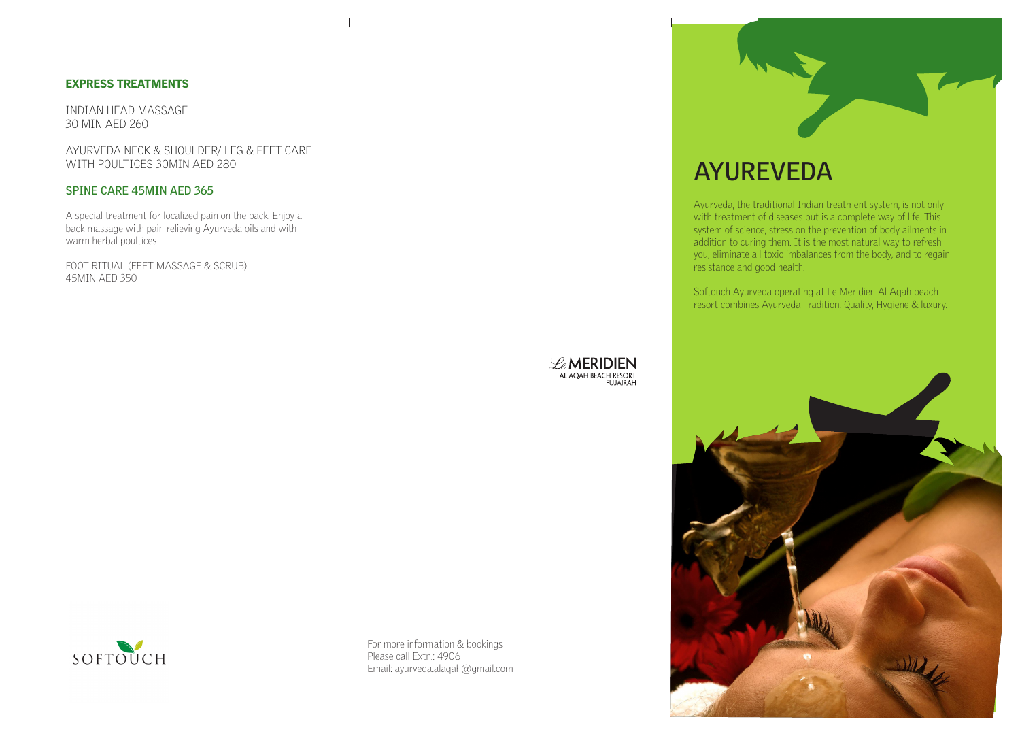### **EXPRESS TREATMENTS**

INDIAN HEAD MASSAGE 30 MIN AED 260

AYURVEDA NECK & SHOULDER/LEG & FEET CARE WITH POULTICES 30MIN AFD 280

#### **SPINE CARE 45MIN AED 365**

A special treatment for localized pain on the back. Enjoy a back massage with pain relieving Ayurveda oils and with warm herbal poultices

FOOT RITUAL (FEET MASSAGE & SCRUB) 45MIN AED 350





For more information & bookings Please call Extn .: 4906 Email: ayurveda alaqah@gmail.com



# **AYUREVEDA**

Ayurveda, the traditional Indian treatment system, is not only with treatment of diseases but is a complete way of life. This system of science, stress on the prevention of body ailments in addition to curing them. It is the most natural way to refresh you, eliminate all toxic imbalances from the body, and to regain resistance and good health.

Softouch Ayurveda operating at Le Meridien Al Agah beach resort combines Ayurveda Tradition, Quality, Hygiene & luxury.